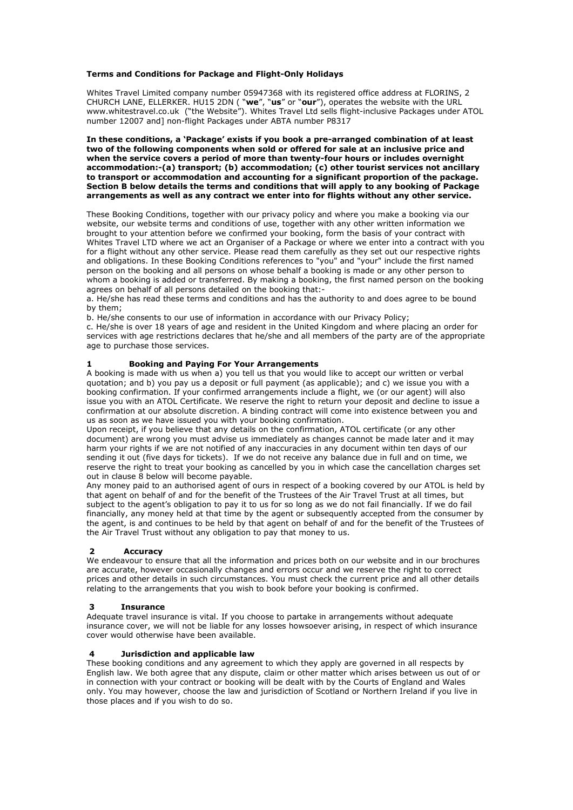### Terms and Conditions for Package and Flight-Only Holidays

Whites Travel Limited company number 05947368 with its registered office address at FLORINS, 2 CHURCH LANE, ELLERKER. HU15 2DN ( "we", "us" or "our"), operates the website with the URL www.whitestravel.co.uk ("the Website"). Whites Travel Ltd sells flight-inclusive Packages under ATOL number 12007 and] non-flight Packages under ABTA number P8317

#### In these conditions, a 'Package' exists if you book a pre-arranged combination of at least two of the following components when sold or offered for sale at an inclusive price and when the service covers a period of more than twenty-four hours or includes overnight accommodation:-(a) transport; (b) accommodation; (c) other tourist services not ancillary to transport or accommodation and accounting for a significant proportion of the package. Section B below details the terms and conditions that will apply to any booking of Package arrangements as well as any contract we enter into for flights without any other service.

These Booking Conditions, together with our privacy policy and where you make a booking via our website, our website terms and conditions of use, together with any other written information we brought to your attention before we confirmed your booking, form the basis of your contract with Whites Travel LTD where we act an Organiser of a Package or where we enter into a contract with you for a flight without any other service. Please read them carefully as they set out our respective rights and obligations. In these Booking Conditions references to "you" and "your" include the first named person on the booking and all persons on whose behalf a booking is made or any other person to whom a booking is added or transferred. By making a booking, the first named person on the booking agrees on behalf of all persons detailed on the booking that:-

a. He/she has read these terms and conditions and has the authority to and does agree to be bound by them;

b. He/she consents to our use of information in accordance with our Privacy Policy;

c. He/she is over 18 years of age and resident in the United Kingdom and where placing an order for services with age restrictions declares that he/she and all members of the party are of the appropriate age to purchase those services.

# 1 Booking and Paying For Your Arrangements

A booking is made with us when a) you tell us that you would like to accept our written or verbal quotation; and b) you pay us a deposit or full payment (as applicable); and c) we issue you with a booking confirmation. If your confirmed arrangements include a flight, we (or our agent) will also issue you with an ATOL Certificate. We reserve the right to return your deposit and decline to issue a confirmation at our absolute discretion. A binding contract will come into existence between you and us as soon as we have issued you with your booking confirmation.

Upon receipt, if you believe that any details on the confirmation, ATOL certificate (or any other document) are wrong you must advise us immediately as changes cannot be made later and it may harm your rights if we are not notified of any inaccuracies in any document within ten days of our sending it out (five days for tickets). If we do not receive any balance due in full and on time, we reserve the right to treat your booking as cancelled by you in which case the cancellation charges set out in clause 8 below will become payable.

Any money paid to an authorised agent of ours in respect of a booking covered by our ATOL is held by that agent on behalf of and for the benefit of the Trustees of the Air Travel Trust at all times, but subject to the agent's obligation to pay it to us for so long as we do not fail financially. If we do fail financially, any money held at that time by the agent or subsequently accepted from the consumer by the agent, is and continues to be held by that agent on behalf of and for the benefit of the Trustees of the Air Travel Trust without any obligation to pay that money to us.

# **Accuracy**

We endeavour to ensure that all the information and prices both on our website and in our brochures are accurate, however occasionally changes and errors occur and we reserve the right to correct prices and other details in such circumstances. You must check the current price and all other details relating to the arrangements that you wish to book before your booking is confirmed.

# 3 Insurance

Adequate travel insurance is vital. If you choose to partake in arrangements without adequate insurance cover, we will not be liable for any losses howsoever arising, in respect of which insurance cover would otherwise have been available.

# 4 Jurisdiction and applicable law

These booking conditions and any agreement to which they apply are governed in all respects by English law. We both agree that any dispute, claim or other matter which arises between us out of or in connection with your contract or booking will be dealt with by the Courts of England and Wales only. You may however, choose the law and jurisdiction of Scotland or Northern Ireland if you live in those places and if you wish to do so.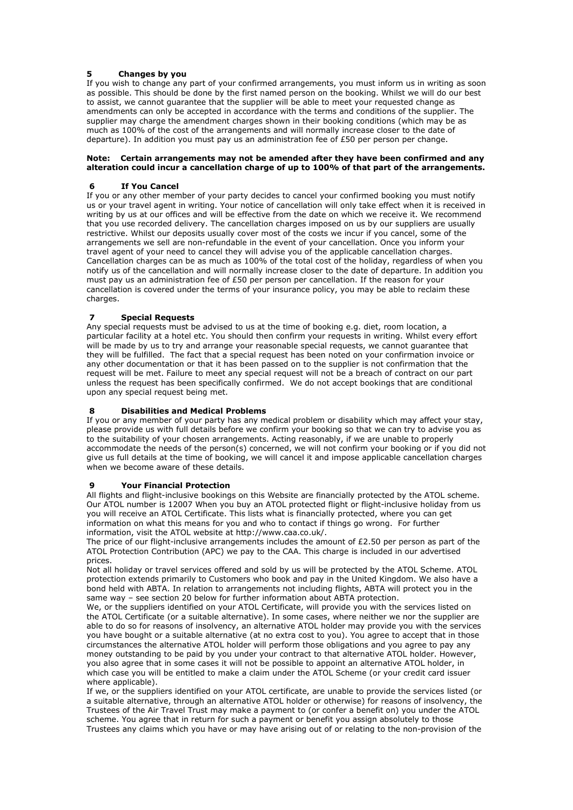# 5 Changes by you

If you wish to change any part of your confirmed arrangements, you must inform us in writing as soon as possible. This should be done by the first named person on the booking. Whilst we will do our best to assist, we cannot guarantee that the supplier will be able to meet your requested change as amendments can only be accepted in accordance with the terms and conditions of the supplier. The supplier may charge the amendment charges shown in their booking conditions (which may be as much as 100% of the cost of the arrangements and will normally increase closer to the date of departure). In addition you must pay us an administration fee of £50 per person per change.

### Note: Certain arrangements may not be amended after they have been confirmed and any alteration could incur a cancellation charge of up to 100% of that part of the arrangements.

# If You Cancel

If you or any other member of your party decides to cancel your confirmed booking you must notify us or your travel agent in writing. Your notice of cancellation will only take effect when it is received in writing by us at our offices and will be effective from the date on which we receive it. We recommend that you use recorded delivery. The cancellation charges imposed on us by our suppliers are usually restrictive. Whilst our deposits usually cover most of the costs we incur if you cancel, some of the arrangements we sell are non-refundable in the event of your cancellation. Once you inform your travel agent of your need to cancel they will advise you of the applicable cancellation charges. Cancellation charges can be as much as 100% of the total cost of the holiday, regardless of when you notify us of the cancellation and will normally increase closer to the date of departure. In addition you must pay us an administration fee of £50 per person per cancellation. If the reason for your cancellation is covered under the terms of your insurance policy, you may be able to reclaim these charges.

# 7 Special Requests

Any special requests must be advised to us at the time of booking e.g. diet, room location, a particular facility at a hotel etc. You should then confirm your requests in writing. Whilst every effort will be made by us to try and arrange your reasonable special requests, we cannot guarantee that they will be fulfilled. The fact that a special request has been noted on your confirmation invoice or any other documentation or that it has been passed on to the supplier is not confirmation that the request will be met. Failure to meet any special request will not be a breach of contract on our part unless the request has been specifically confirmed. We do not accept bookings that are conditional upon any special request being met.

# 8 Disabilities and Medical Problems

If you or any member of your party has any medical problem or disability which may affect your stay, please provide us with full details before we confirm your booking so that we can try to advise you as to the suitability of your chosen arrangements. Acting reasonably, if we are unable to properly accommodate the needs of the person(s) concerned, we will not confirm your booking or if you did not give us full details at the time of booking, we will cancel it and impose applicable cancellation charges when we become aware of these details.

# 9 Your Financial Protection

All flights and flight-inclusive bookings on this Website are financially protected by the ATOL scheme. Our ATOL number is 12007 When you buy an ATOL protected flight or flight-inclusive holiday from us you will receive an ATOL Certificate. This lists what is financially protected, where you can get information on what this means for you and who to contact if things go wrong. For further information, visit the ATOL website at http://www.caa.co.uk/.

The price of our flight-inclusive arrangements includes the amount of  $£2.50$  per person as part of the ATOL Protection Contribution (APC) we pay to the CAA. This charge is included in our advertised prices.

Not all holiday or travel services offered and sold by us will be protected by the ATOL Scheme. ATOL protection extends primarily to Customers who book and pay in the United Kingdom. We also have a bond held with ABTA. In relation to arrangements not including flights, ABTA will protect you in the same way – see section 20 below for further information about ABTA protection.

We, or the suppliers identified on your ATOL Certificate, will provide you with the services listed on the ATOL Certificate (or a suitable alternative). In some cases, where neither we nor the supplier are able to do so for reasons of insolvency, an alternative ATOL holder may provide you with the services you have bought or a suitable alternative (at no extra cost to you). You agree to accept that in those circumstances the alternative ATOL holder will perform those obligations and you agree to pay any money outstanding to be paid by you under your contract to that alternative ATOL holder. However, you also agree that in some cases it will not be possible to appoint an alternative ATOL holder, in which case you will be entitled to make a claim under the ATOL Scheme (or your credit card issuer where applicable).

If we, or the suppliers identified on your ATOL certificate, are unable to provide the services listed (or a suitable alternative, through an alternative ATOL holder or otherwise) for reasons of insolvency, the Trustees of the Air Travel Trust may make a payment to (or confer a benefit on) you under the ATOL scheme. You agree that in return for such a payment or benefit you assign absolutely to those Trustees any claims which you have or may have arising out of or relating to the non-provision of the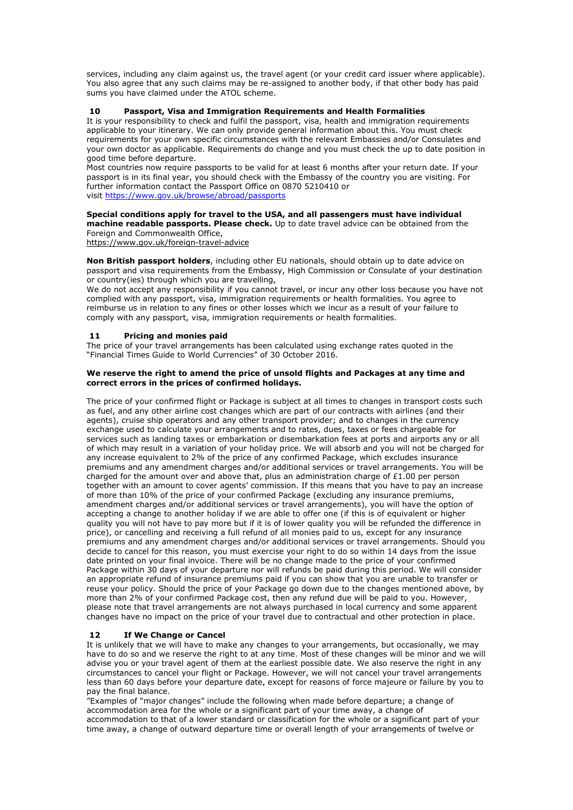services, including any claim against us, the travel agent (or your credit card issuer where applicable). You also agree that any such claims may be re-assigned to another body, if that other body has paid sums you have claimed under the ATOL scheme.

# 10 Passport, Visa and Immigration Requirements and Health Formalities

It is your responsibility to check and fulfil the passport, visa, health and immigration requirements applicable to your itinerary. We can only provide general information about this. You must check requirements for your own specific circumstances with the relevant Embassies and/or Consulates and your own doctor as applicable. Requirements do change and you must check the up to date position in good time before departure.

Most countries now require passports to be valid for at least 6 months after your return date. If your passport is in its final year, you should check with the Embassy of the country you are visiting. For further information contact the Passport Office on 0870 5210410 or visit https://www.gov.uk/browse/abroad/passports

#### Special conditions apply for travel to the USA, and all passengers must have individual machine readable passports. Please check. Up to date travel advice can be obtained from the Foreign and Commonwealth Office,

https://www.gov.uk/foreign-travel-advice

Non British passport holders, including other EU nationals, should obtain up to date advice on passport and visa requirements from the Embassy, High Commission or Consulate of your destination or country(ies) through which you are travelling,

We do not accept any responsibility if you cannot travel, or incur any other loss because you have not complied with any passport, visa, immigration requirements or health formalities. You agree to reimburse us in relation to any fines or other losses which we incur as a result of your failure to comply with any passport, visa, immigration requirements or health formalities.

# 11 Pricing and monies paid

The price of your travel arrangements has been calculated using exchange rates quoted in the "Financial Times Guide to World Currencies" of 30 October 2016.

### We reserve the right to amend the price of unsold flights and Packages at any time and correct errors in the prices of confirmed holidays.

The price of your confirmed flight or Package is subject at all times to changes in transport costs such as fuel, and any other airline cost changes which are part of our contracts with airlines (and their agents), cruise ship operators and any other transport provider; and to changes in the currency exchange used to calculate your arrangements and to rates, dues, taxes or fees chargeable for services such as landing taxes or embarkation or disembarkation fees at ports and airports any or all of which may result in a variation of your holiday price. We will absorb and you will not be charged for any increase equivalent to 2% of the price of any confirmed Package, which excludes insurance premiums and any amendment charges and/or additional services or travel arrangements. You will be charged for the amount over and above that, plus an administration charge of £1.00 per person together with an amount to cover agents' commission. If this means that you have to pay an increase of more than 10% of the price of your confirmed Package (excluding any insurance premiums, amendment charges and/or additional services or travel arrangements), you will have the option of accepting a change to another holiday if we are able to offer one (if this is of equivalent or higher quality you will not have to pay more but if it is of lower quality you will be refunded the difference in price), or cancelling and receiving a full refund of all monies paid to us, except for any insurance premiums and any amendment charges and/or additional services or travel arrangements. Should you decide to cancel for this reason, you must exercise your right to do so within 14 days from the issue date printed on your final invoice. There will be no change made to the price of your confirmed Package within 30 days of your departure nor will refunds be paid during this period. We will consider an appropriate refund of insurance premiums paid if you can show that you are unable to transfer or reuse your policy. Should the price of your Package go down due to the changes mentioned above, by more than 2% of your confirmed Package cost, then any refund due will be paid to you. However, please note that travel arrangements are not always purchased in local currency and some apparent changes have no impact on the price of your travel due to contractual and other protection in place.

# 12 If We Change or Cancel

It is unlikely that we will have to make any changes to your arrangements, but occasionally, we may have to do so and we reserve the right to at any time. Most of these changes will be minor and we will advise you or your travel agent of them at the earliest possible date. We also reserve the right in any circumstances to cancel your flight or Package. However, we will not cancel your travel arrangements less than 60 days before your departure date, except for reasons of force majeure or failure by you to pay the final balance.

"Examples of "major changes" include the following when made before departure; a change of accommodation area for the whole or a significant part of your time away, a change of accommodation to that of a lower standard or classification for the whole or a significant part of your time away, a change of outward departure time or overall length of your arrangements of twelve or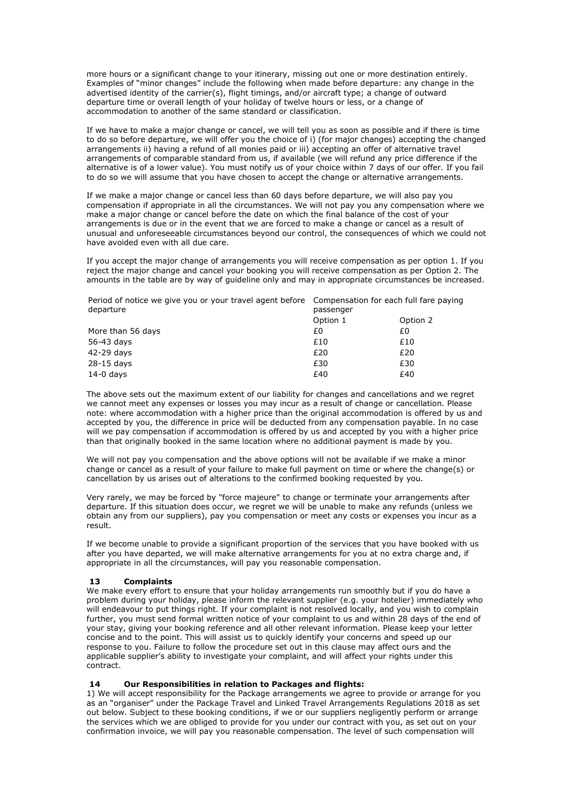more hours or a significant change to your itinerary, missing out one or more destination entirely. Examples of "minor changes" include the following when made before departure: any change in the advertised identity of the carrier(s), flight timings, and/or aircraft type; a change of outward departure time or overall length of your holiday of twelve hours or less, or a change of accommodation to another of the same standard or classification.

If we have to make a major change or cancel, we will tell you as soon as possible and if there is time to do so before departure, we will offer you the choice of i) (for major changes) accepting the changed arrangements ii) having a refund of all monies paid or iii) accepting an offer of alternative travel arrangements of comparable standard from us, if available (we will refund any price difference if the alternative is of a lower value). You must notify us of your choice within 7 days of our offer. If you fail to do so we will assume that you have chosen to accept the change or alternative arrangements.

If we make a major change or cancel less than 60 days before departure, we will also pay you compensation if appropriate in all the circumstances. We will not pay you any compensation where we make a major change or cancel before the date on which the final balance of the cost of your arrangements is due or in the event that we are forced to make a change or cancel as a result of unusual and unforeseeable circumstances beyond our control, the consequences of which we could not have avoided even with all due care.

If you accept the major change of arrangements you will receive compensation as per option 1. If you reject the major change and cancel your booking you will receive compensation as per Option 2. The amounts in the table are by way of guideline only and may in appropriate circumstances be increased.

Period of notice we give you or your travel agent before Compensation for each full fare paying departure passenger Option 1 Option 2 More than 56 days  $\epsilon_0$  and  $\epsilon_1$ 56-43 days  $£10$   $£10$ 

| 42-29 days  | £20                                                                                           | £20 |
|-------------|-----------------------------------------------------------------------------------------------|-----|
| 28-15 days  | £30                                                                                           | £30 |
| $14-0$ days | £40                                                                                           | £40 |
|             | The above sets out the mayimum extent of our liability for changes and cancellations and we r |     |

The above sets out the maximum extent of our liability for changes and cancellations and we regret we cannot meet any expenses or losses you may incur as a result of change or cancellation. Please note: where accommodation with a higher price than the original accommodation is offered by us and accepted by you, the difference in price will be deducted from any compensation payable. In no case will we pay compensation if accommodation is offered by us and accepted by you with a higher price than that originally booked in the same location where no additional payment is made by you.

We will not pay you compensation and the above options will not be available if we make a minor change or cancel as a result of your failure to make full payment on time or where the change(s) or cancellation by us arises out of alterations to the confirmed booking requested by you.

Very rarely, we may be forced by "force majeure" to change or terminate your arrangements after departure. If this situation does occur, we regret we will be unable to make any refunds (unless we obtain any from our suppliers), pay you compensation or meet any costs or expenses you incur as a result.

If we become unable to provide a significant proportion of the services that you have booked with us after you have departed, we will make alternative arrangements for you at no extra charge and, if appropriate in all the circumstances, will pay you reasonable compensation.

# 13 Complaints

We make every effort to ensure that your holiday arrangements run smoothly but if you do have a problem during your holiday, please inform the relevant supplier (e.g. your hotelier) immediately who will endeavour to put things right. If your complaint is not resolved locally, and you wish to complain further, you must send formal written notice of your complaint to us and within 28 days of the end of your stay, giving your booking reference and all other relevant information. Please keep your letter concise and to the point. This will assist us to quickly identify your concerns and speed up our response to you. Failure to follow the procedure set out in this clause may affect ours and the applicable supplier's ability to investigate your complaint, and will affect your rights under this contract.

# 14 Our Responsibilities in relation to Packages and flights:

1) We will accept responsibility for the Package arrangements we agree to provide or arrange for you as an "organiser" under the Package Travel and Linked Travel Arrangements Regulations 2018 as set out below. Subject to these booking conditions, if we or our suppliers negligently perform or arrange the services which we are obliged to provide for you under our contract with you, as set out on your confirmation invoice, we will pay you reasonable compensation. The level of such compensation will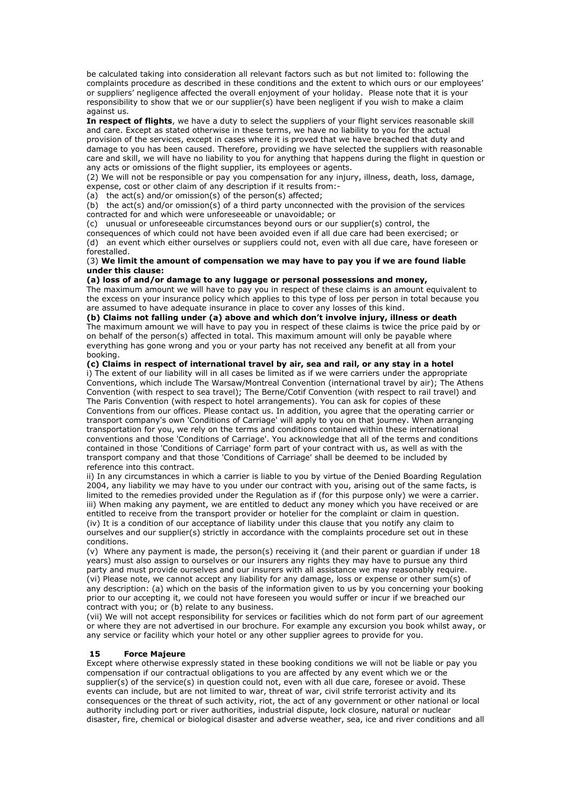be calculated taking into consideration all relevant factors such as but not limited to: following the complaints procedure as described in these conditions and the extent to which ours or our employees' or suppliers' negligence affected the overall enjoyment of your holiday. Please note that it is your responsibility to show that we or our supplier(s) have been negligent if you wish to make a claim against us.

In respect of flights, we have a duty to select the suppliers of your flight services reasonable skill and care. Except as stated otherwise in these terms, we have no liability to you for the actual provision of the services, except in cases where it is proved that we have breached that duty and damage to you has been caused. Therefore, providing we have selected the suppliers with reasonable care and skill, we will have no liability to you for anything that happens during the flight in question or any acts or omissions of the flight supplier, its employees or agents.

(2) We will not be responsible or pay you compensation for any injury, illness, death, loss, damage, expense, cost or other claim of any description if it results from:-

(a) the act(s) and/or omission(s) of the person(s) affected;

(b) the act(s) and/or omission(s) of a third party unconnected with the provision of the services contracted for and which were unforeseeable or unavoidable; or

(c) unusual or unforeseeable circumstances beyond ours or our supplier(s) control, the

consequences of which could not have been avoided even if all due care had been exercised; or (d) an event which either ourselves or suppliers could not, even with all due care, have foreseen or forestalled.

(3) We limit the amount of compensation we may have to pay you if we are found liable under this clause:

(a) loss of and/or damage to any luggage or personal possessions and money,

The maximum amount we will have to pay you in respect of these claims is an amount equivalent to the excess on your insurance policy which applies to this type of loss per person in total because you are assumed to have adequate insurance in place to cover any losses of this kind.

(b) Claims not falling under (a) above and which don't involve injury, illness or death The maximum amount we will have to pay you in respect of these claims is twice the price paid by or on behalf of the person(s) affected in total. This maximum amount will only be payable where everything has gone wrong and you or your party has not received any benefit at all from your booking.

# (c) Claims in respect of international travel by air, sea and rail, or any stay in a hotel

i) The extent of our liability will in all cases be limited as if we were carriers under the appropriate Conventions, which include The Warsaw/Montreal Convention (international travel by air); The Athens Convention (with respect to sea travel); The Berne/Cotif Convention (with respect to rail travel) and The Paris Convention (with respect to hotel arrangements). You can ask for copies of these Conventions from our offices. Please contact us. In addition, you agree that the operating carrier or transport company's own 'Conditions of Carriage' will apply to you on that journey. When arranging transportation for you, we rely on the terms and conditions contained within these international conventions and those 'Conditions of Carriage'. You acknowledge that all of the terms and conditions contained in those 'Conditions of Carriage' form part of your contract with us, as well as with the transport company and that those 'Conditions of Carriage' shall be deemed to be included by reference into this contract.

ii) In any circumstances in which a carrier is liable to you by virtue of the Denied Boarding Regulation 2004, any liability we may have to you under our contract with you, arising out of the same facts, is limited to the remedies provided under the Regulation as if (for this purpose only) we were a carrier. iii) When making any payment, we are entitled to deduct any money which you have received or are entitled to receive from the transport provider or hotelier for the complaint or claim in question. (iv) It is a condition of our acceptance of liability under this clause that you notify any claim to ourselves and our supplier(s) strictly in accordance with the complaints procedure set out in these conditions.

(v) Where any payment is made, the person(s) receiving it (and their parent or guardian if under 18 years) must also assign to ourselves or our insurers any rights they may have to pursue any third party and must provide ourselves and our insurers with all assistance we may reasonably require. (vi) Please note, we cannot accept any liability for any damage, loss or expense or other sum(s) of any description: (a) which on the basis of the information given to us by you concerning your booking prior to our accepting it, we could not have foreseen you would suffer or incur if we breached our contract with you; or (b) relate to any business.

(vii) We will not accept responsibility for services or facilities which do not form part of our agreement or where they are not advertised in our brochure. For example any excursion you book whilst away, or any service or facility which your hotel or any other supplier agrees to provide for you.

# 15 Force Majeure

Except where otherwise expressly stated in these booking conditions we will not be liable or pay you compensation if our contractual obligations to you are affected by any event which we or the supplier(s) of the service(s) in question could not, even with all due care, foresee or avoid. These events can include, but are not limited to war, threat of war, civil strife terrorist activity and its consequences or the threat of such activity, riot, the act of any government or other national or local authority including port or river authorities, industrial dispute, lock closure, natural or nuclear disaster, fire, chemical or biological disaster and adverse weather, sea, ice and river conditions and all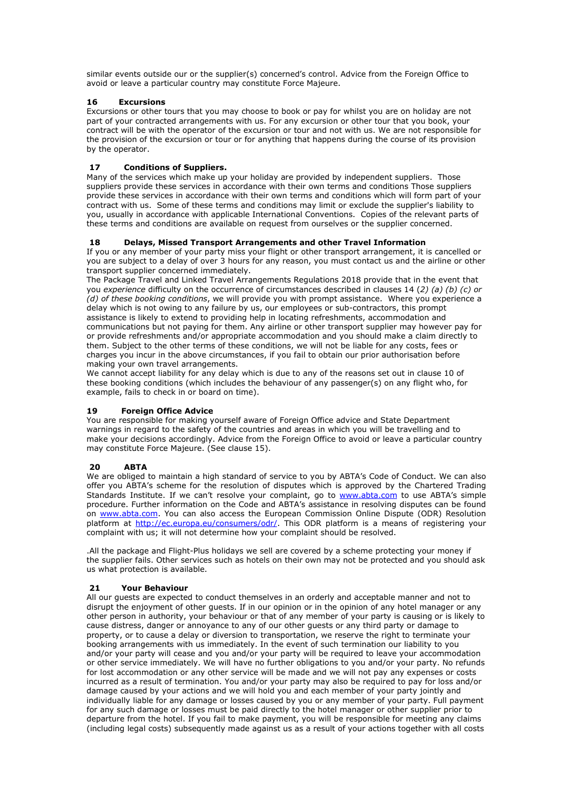similar events outside our or the supplier(s) concerned's control. Advice from the Foreign Office to avoid or leave a particular country may constitute Force Majeure.

# 16 Excursions

Excursions or other tours that you may choose to book or pay for whilst you are on holiday are not part of your contracted arrangements with us. For any excursion or other tour that you book, your contract will be with the operator of the excursion or tour and not with us. We are not responsible for the provision of the excursion or tour or for anything that happens during the course of its provision by the operator.

# 17 Conditions of Suppliers.

Many of the services which make up your holiday are provided by independent suppliers. Those suppliers provide these services in accordance with their own terms and conditions Those suppliers provide these services in accordance with their own terms and conditions which will form part of your contract with us. Some of these terms and conditions may limit or exclude the supplier's liability to you, usually in accordance with applicable International Conventions. Copies of the relevant parts of these terms and conditions are available on request from ourselves or the supplier concerned.

# 18 Delays, Missed Transport Arrangements and other Travel Information

If you or any member of your party miss your flight or other transport arrangement, it is cancelled or you are subject to a delay of over 3 hours for any reason, you must contact us and the airline or other transport supplier concerned immediately.

The Package Travel and Linked Travel Arrangements Regulations 2018 provide that in the event that you experience difficulty on the occurrence of circumstances described in clauses 14 (2) (a) (b) (c) or (d) of these booking conditions, we will provide you with prompt assistance. Where you experience a delay which is not owing to any failure by us, our employees or sub-contractors, this prompt assistance is likely to extend to providing help in locating refreshments, accommodation and communications but not paying for them. Any airline or other transport supplier may however pay for or provide refreshments and/or appropriate accommodation and you should make a claim directly to them. Subject to the other terms of these conditions, we will not be liable for any costs, fees or charges you incur in the above circumstances, if you fail to obtain our prior authorisation before making your own travel arrangements.

We cannot accept liability for any delay which is due to any of the reasons set out in clause 10 of these booking conditions (which includes the behaviour of any passenger(s) on any flight who, for example, fails to check in or board on time).

# 19 Foreign Office Advice

You are responsible for making yourself aware of Foreign Office advice and State Department warnings in regard to the safety of the countries and areas in which you will be travelling and to make your decisions accordingly. Advice from the Foreign Office to avoid or leave a particular country may constitute Force Majeure. (See clause 15).

# 20 ABTA

We are obliged to maintain a high standard of service to you by ABTA's Code of Conduct. We can also offer you ABTA's scheme for the resolution of disputes which is approved by the Chartered Trading Standards Institute. If we can't resolve your complaint, go to www.abta.com to use ABTA's simple procedure. Further information on the Code and ABTA's assistance in resolving disputes can be found on www.abta.com. You can also access the European Commission Online Dispute (ODR) Resolution platform at http://ec.europa.eu/consumers/odr/. This ODR platform is a means of registering your complaint with us; it will not determine how your complaint should be resolved.

.All the package and Flight-Plus holidays we sell are covered by a scheme protecting your money if the supplier fails. Other services such as hotels on their own may not be protected and you should ask us what protection is available.

# 21 Your Behaviour

All our guests are expected to conduct themselves in an orderly and acceptable manner and not to disrupt the enjoyment of other guests. If in our opinion or in the opinion of any hotel manager or any other person in authority, your behaviour or that of any member of your party is causing or is likely to cause distress, danger or annoyance to any of our other guests or any third party or damage to property, or to cause a delay or diversion to transportation, we reserve the right to terminate your booking arrangements with us immediately. In the event of such termination our liability to you and/or your party will cease and you and/or your party will be required to leave your accommodation or other service immediately. We will have no further obligations to you and/or your party. No refunds for lost accommodation or any other service will be made and we will not pay any expenses or costs incurred as a result of termination. You and/or your party may also be required to pay for loss and/or damage caused by your actions and we will hold you and each member of your party jointly and individually liable for any damage or losses caused by you or any member of your party. Full payment for any such damage or losses must be paid directly to the hotel manager or other supplier prior to departure from the hotel. If you fail to make payment, you will be responsible for meeting any claims (including legal costs) subsequently made against us as a result of your actions together with all costs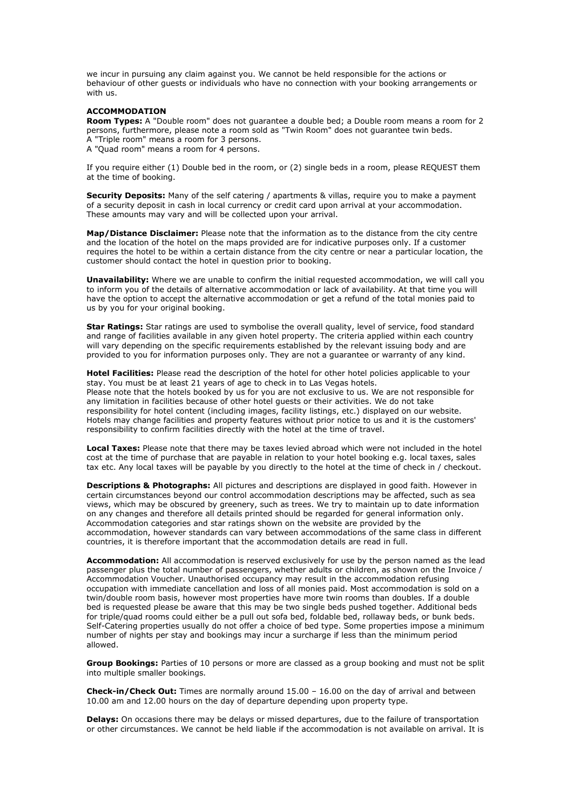we incur in pursuing any claim against you. We cannot be held responsible for the actions or behaviour of other guests or individuals who have no connection with your booking arrangements or with us.

# ACCOMMODATION

Room Types: A "Double room" does not guarantee a double bed; a Double room means a room for 2 persons, furthermore, please note a room sold as "Twin Room" does not guarantee twin beds. A "Triple room" means a room for 3 persons. A "Quad room" means a room for 4 persons.

If you require either (1) Double bed in the room, or (2) single beds in a room, please REQUEST them at the time of booking.

Security Deposits: Many of the self catering / apartments & villas, require you to make a payment of a security deposit in cash in local currency or credit card upon arrival at your accommodation. These amounts may vary and will be collected upon your arrival.

Map/Distance Disclaimer: Please note that the information as to the distance from the city centre and the location of the hotel on the maps provided are for indicative purposes only. If a customer requires the hotel to be within a certain distance from the city centre or near a particular location, the customer should contact the hotel in question prior to booking.

Unavailability: Where we are unable to confirm the initial requested accommodation, we will call you to inform you of the details of alternative accommodation or lack of availability. At that time you will have the option to accept the alternative accommodation or get a refund of the total monies paid to us by you for your original booking.

Star Ratings: Star ratings are used to symbolise the overall quality, level of service, food standard and range of facilities available in any given hotel property. The criteria applied within each country will vary depending on the specific requirements established by the relevant issuing body and are provided to you for information purposes only. They are not a guarantee or warranty of any kind.

Hotel Facilities: Please read the description of the hotel for other hotel policies applicable to your stay. You must be at least 21 years of age to check in to Las Vegas hotels. Please note that the hotels booked by us for you are not exclusive to us. We are not responsible for any limitation in facilities because of other hotel guests or their activities. We do not take responsibility for hotel content (including images, facility listings, etc.) displayed on our website. Hotels may change facilities and property features without prior notice to us and it is the customers' responsibility to confirm facilities directly with the hotel at the time of travel.

Local Taxes: Please note that there may be taxes levied abroad which were not included in the hotel cost at the time of purchase that are payable in relation to your hotel booking e.g. local taxes, sales tax etc. Any local taxes will be payable by you directly to the hotel at the time of check in / checkout.

Descriptions & Photographs: All pictures and descriptions are displayed in good faith. However in certain circumstances beyond our control accommodation descriptions may be affected, such as sea views, which may be obscured by greenery, such as trees. We try to maintain up to date information on any changes and therefore all details printed should be regarded for general information only. Accommodation categories and star ratings shown on the website are provided by the accommodation, however standards can vary between accommodations of the same class in different countries, it is therefore important that the accommodation details are read in full.

Accommodation: All accommodation is reserved exclusively for use by the person named as the lead passenger plus the total number of passengers, whether adults or children, as shown on the Invoice / Accommodation Voucher. Unauthorised occupancy may result in the accommodation refusing occupation with immediate cancellation and loss of all monies paid. Most accommodation is sold on a twin/double room basis, however most properties have more twin rooms than doubles. If a double bed is requested please be aware that this may be two single beds pushed together. Additional beds for triple/quad rooms could either be a pull out sofa bed, foldable bed, rollaway beds, or bunk beds. Self-Catering properties usually do not offer a choice of bed type. Some properties impose a minimum number of nights per stay and bookings may incur a surcharge if less than the minimum period allowed.

Group Bookings: Parties of 10 persons or more are classed as a group booking and must not be split into multiple smaller bookings.

**Check-in/Check Out:** Times are normally around  $15.00 - 16.00$  on the day of arrival and between 10.00 am and 12.00 hours on the day of departure depending upon property type.

**Delays:** On occasions there may be delays or missed departures, due to the failure of transportation or other circumstances. We cannot be held liable if the accommodation is not available on arrival. It is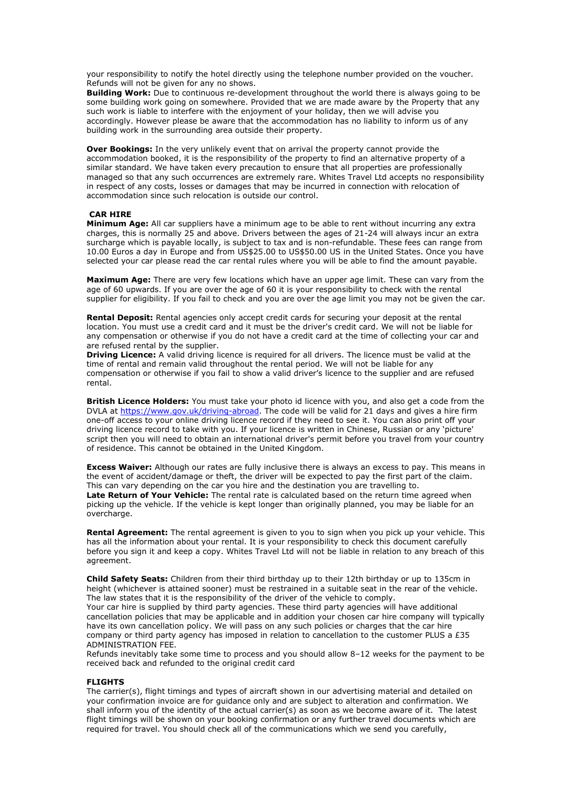your responsibility to notify the hotel directly using the telephone number provided on the voucher. Refunds will not be given for any no shows.

**Building Work:** Due to continuous re-development throughout the world there is always going to be some building work going on somewhere. Provided that we are made aware by the Property that any such work is liable to interfere with the enjoyment of your holiday, then we will advise you accordingly. However please be aware that the accommodation has no liability to inform us of any building work in the surrounding area outside their property.

**Over Bookings:** In the very unlikely event that on arrival the property cannot provide the accommodation booked, it is the responsibility of the property to find an alternative property of a similar standard. We have taken every precaution to ensure that all properties are professionally managed so that any such occurrences are extremely rare. Whites Travel Ltd accepts no responsibility in respect of any costs, losses or damages that may be incurred in connection with relocation of accommodation since such relocation is outside our control.

### CAR HIRE

**Minimum Age:** All car suppliers have a minimum age to be able to rent without incurring any extra charges, this is normally 25 and above. Drivers between the ages of 21-24 will always incur an extra surcharge which is payable locally, is subject to tax and is non-refundable. These fees can range from 10.00 Euros a day in Europe and from US\$25.00 to US\$50.00 US in the United States. Once you have selected your car please read the car rental rules where you will be able to find the amount payable.

Maximum Age: There are very few locations which have an upper age limit. These can vary from the age of 60 upwards. If you are over the age of 60 it is your responsibility to check with the rental supplier for eligibility. If you fail to check and you are over the age limit you may not be given the car.

Rental Deposit: Rental agencies only accept credit cards for securing your deposit at the rental location. You must use a credit card and it must be the driver's credit card. We will not be liable for any compensation or otherwise if you do not have a credit card at the time of collecting your car and are refused rental by the supplier.

**Driving Licence:** A valid driving licence is required for all drivers. The licence must be valid at the time of rental and remain valid throughout the rental period. We will not be liable for any compensation or otherwise if you fail to show a valid driver's licence to the supplier and are refused rental.

**British Licence Holders:** You must take your photo id licence with you, and also get a code from the DVLA at https://www.gov.uk/driving-abroad. The code will be valid for 21 days and gives a hire firm one-off access to your online driving licence record if they need to see it. You can also print off your driving licence record to take with you. If your licence is written in Chinese, Russian or any 'picture' script then you will need to obtain an international driver's permit before you travel from your country of residence. This cannot be obtained in the United Kingdom.

**Excess Waiver:** Although our rates are fully inclusive there is always an excess to pay. This means in the event of accident/damage or theft, the driver will be expected to pay the first part of the claim. This can vary depending on the car you hire and the destination you are travelling to. Late Return of Your Vehicle: The rental rate is calculated based on the return time agreed when picking up the vehicle. If the vehicle is kept longer than originally planned, you may be liable for an overcharge.

Rental Agreement: The rental agreement is given to you to sign when you pick up your vehicle. This has all the information about your rental. It is your responsibility to check this document carefully before you sign it and keep a copy. Whites Travel Ltd will not be liable in relation to any breach of this agreement.

Child Safety Seats: Children from their third birthday up to their 12th birthday or up to 135cm in height (whichever is attained sooner) must be restrained in a suitable seat in the rear of the vehicle. The law states that it is the responsibility of the driver of the vehicle to comply. Your car hire is supplied by third party agencies. These third party agencies will have additional cancellation policies that may be applicable and in addition your chosen car hire company will typically have its own cancellation policy. We will pass on any such policies or charges that the car hire

company or third party agency has imposed in relation to cancellation to the customer PLUS a £35 ADMINISTRATION FEE.

Refunds inevitably take some time to process and you should allow 8–12 weeks for the payment to be received back and refunded to the original credit card

#### FLIGHTS

The carrier(s), flight timings and types of aircraft shown in our advertising material and detailed on your confirmation invoice are for guidance only and are subject to alteration and confirmation. We shall inform you of the identity of the actual carrier(s) as soon as we become aware of it. The latest flight timings will be shown on your booking confirmation or any further travel documents which are required for travel. You should check all of the communications which we send you carefully,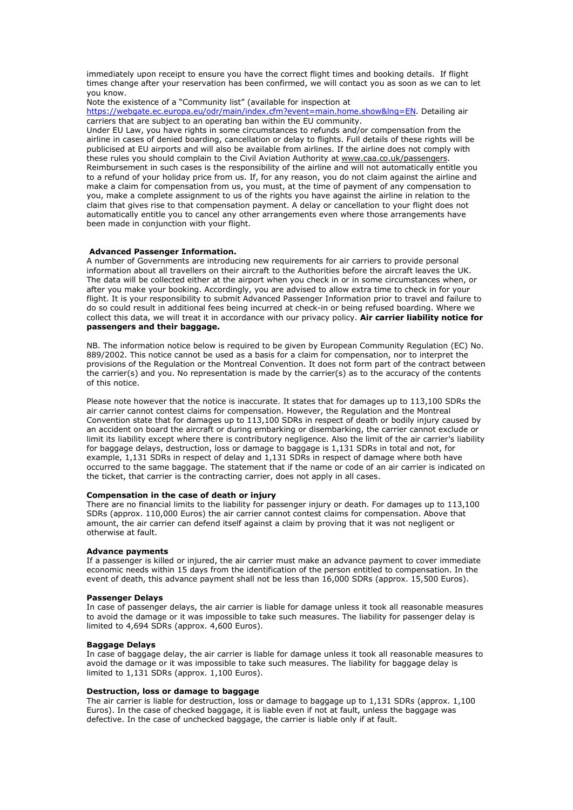immediately upon receipt to ensure you have the correct flight times and booking details. If flight times change after your reservation has been confirmed, we will contact you as soon as we can to let you know.

Note the existence of a "Community list" (available for inspection at https://webgate.ec.europa.eu/odr/main/index.cfm?event=main.home.show&lng=EN. Detailing air carriers that are subject to an operating ban within the EU community.

Under EU Law, you have rights in some circumstances to refunds and/or compensation from the airline in cases of denied boarding, cancellation or delay to flights. Full details of these rights will be publicised at EU airports and will also be available from airlines. If the airline does not comply with these rules you should complain to the Civil Aviation Authority at www.caa.co.uk/passengers. Reimbursement in such cases is the responsibility of the airline and will not automatically entitle you to a refund of your holiday price from us. If, for any reason, you do not claim against the airline and make a claim for compensation from us, you must, at the time of payment of any compensation to you, make a complete assignment to us of the rights you have against the airline in relation to the claim that gives rise to that compensation payment. A delay or cancellation to your flight does not automatically entitle you to cancel any other arrangements even where those arrangements have been made in conjunction with your flight.

### Advanced Passenger Information.

A number of Governments are introducing new requirements for air carriers to provide personal information about all travellers on their aircraft to the Authorities before the aircraft leaves the UK. The data will be collected either at the airport when you check in or in some circumstances when, or after you make your booking. Accordingly, you are advised to allow extra time to check in for your flight. It is your responsibility to submit Advanced Passenger Information prior to travel and failure to do so could result in additional fees being incurred at check-in or being refused boarding. Where we collect this data, we will treat it in accordance with our privacy policy. Air carrier liability notice for passengers and their baggage.

NB. The information notice below is required to be given by European Community Regulation (EC) No. 889/2002. This notice cannot be used as a basis for a claim for compensation, nor to interpret the provisions of the Regulation or the Montreal Convention. It does not form part of the contract between the carrier(s) and you. No representation is made by the carrier(s) as to the accuracy of the contents of this notice.

Please note however that the notice is inaccurate. It states that for damages up to 113,100 SDRs the air carrier cannot contest claims for compensation. However, the Regulation and the Montreal Convention state that for damages up to 113,100 SDRs in respect of death or bodily injury caused by an accident on board the aircraft or during embarking or disembarking, the carrier cannot exclude or limit its liability except where there is contributory negligence. Also the limit of the air carrier's liability for baggage delays, destruction, loss or damage to baggage is 1,131 SDRs in total and not, for example, 1,131 SDRs in respect of delay and 1,131 SDRs in respect of damage where both have occurred to the same baggage. The statement that if the name or code of an air carrier is indicated on the ticket, that carrier is the contracting carrier, does not apply in all cases.

# Compensation in the case of death or injury

There are no financial limits to the liability for passenger injury or death. For damages up to 113,100 SDRs (approx. 110,000 Euros) the air carrier cannot contest claims for compensation. Above that amount, the air carrier can defend itself against a claim by proving that it was not negligent or otherwise at fault.

### Advance payments

If a passenger is killed or injured, the air carrier must make an advance payment to cover immediate economic needs within 15 days from the identification of the person entitled to compensation. In the event of death, this advance payment shall not be less than 16,000 SDRs (approx. 15,500 Euros).

#### Passenger Delays

In case of passenger delays, the air carrier is liable for damage unless it took all reasonable measures to avoid the damage or it was impossible to take such measures. The liability for passenger delay is limited to 4,694 SDRs (approx. 4,600 Euros).

#### Baggage Delays

In case of baggage delay, the air carrier is liable for damage unless it took all reasonable measures to avoid the damage or it was impossible to take such measures. The liability for baggage delay is limited to 1,131 SDRs (approx. 1,100 Euros).

### Destruction, loss or damage to baggage

The air carrier is liable for destruction, loss or damage to baggage up to 1,131 SDRs (approx. 1,100 Euros). In the case of checked baggage, it is liable even if not at fault, unless the baggage was defective. In the case of unchecked baggage, the carrier is liable only if at fault.